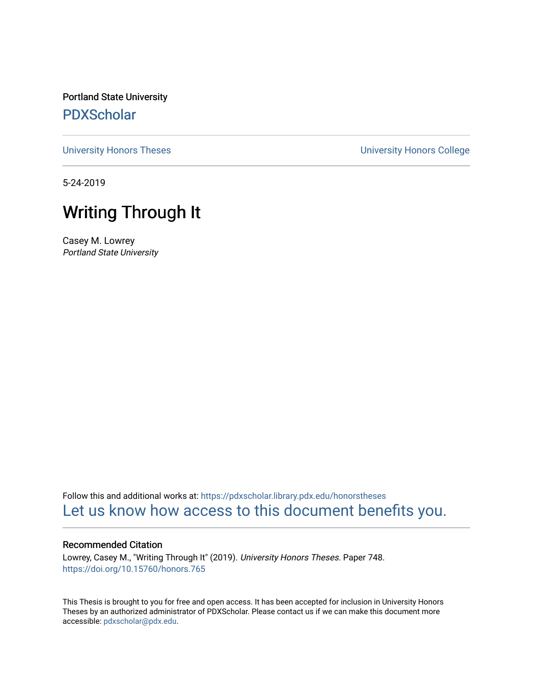Portland State University [PDXScholar](https://pdxscholar.library.pdx.edu/)

[University Honors Theses](https://pdxscholar.library.pdx.edu/honorstheses) [University Honors College](https://pdxscholar.library.pdx.edu/honors) 

5-24-2019

# Writing Through It

Casey M. Lowrey Portland State University

Follow this and additional works at: [https://pdxscholar.library.pdx.edu/honorstheses](https://pdxscholar.library.pdx.edu/honorstheses?utm_source=pdxscholar.library.pdx.edu%2Fhonorstheses%2F748&utm_medium=PDF&utm_campaign=PDFCoverPages)  [Let us know how access to this document benefits you.](http://library.pdx.edu/services/pdxscholar-services/pdxscholar-feedback/) 

#### Recommended Citation

Lowrey, Casey M., "Writing Through It" (2019). University Honors Theses. Paper 748. <https://doi.org/10.15760/honors.765>

This Thesis is brought to you for free and open access. It has been accepted for inclusion in University Honors Theses by an authorized administrator of PDXScholar. Please contact us if we can make this document more accessible: [pdxscholar@pdx.edu.](mailto:pdxscholar@pdx.edu)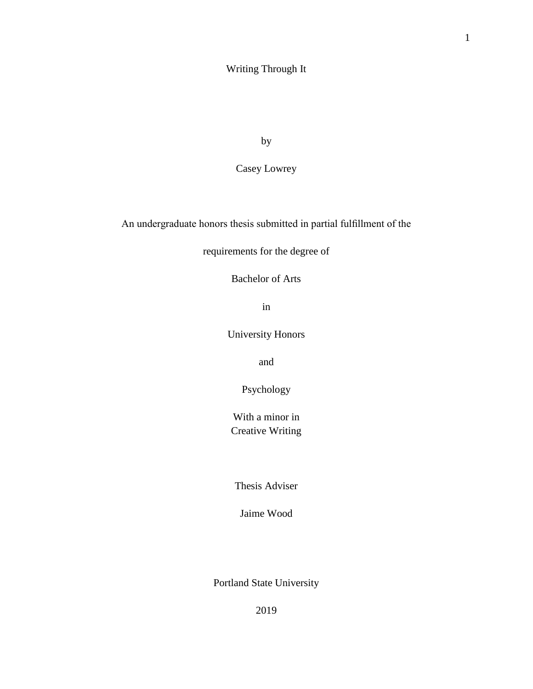# Writing Through It

by

Casey Lowrey

An undergraduate honors thesis submitted in partial fulfillment of the

requirements for the degree of

Bachelor of Arts

in

University Honors

and

Psychology

With a minor in Creative Writing

Thesis Adviser

Jaime Wood

Portland State University

2019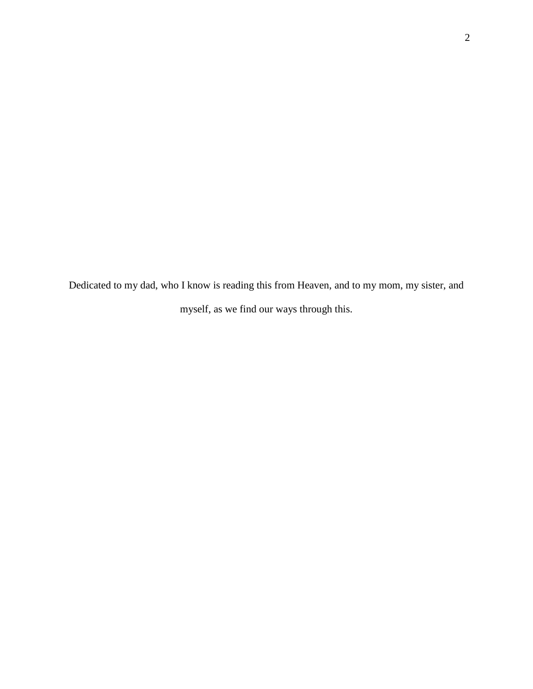Dedicated to my dad, who I know is reading this from Heaven, and to my mom, my sister, and myself, as we find our ways through this.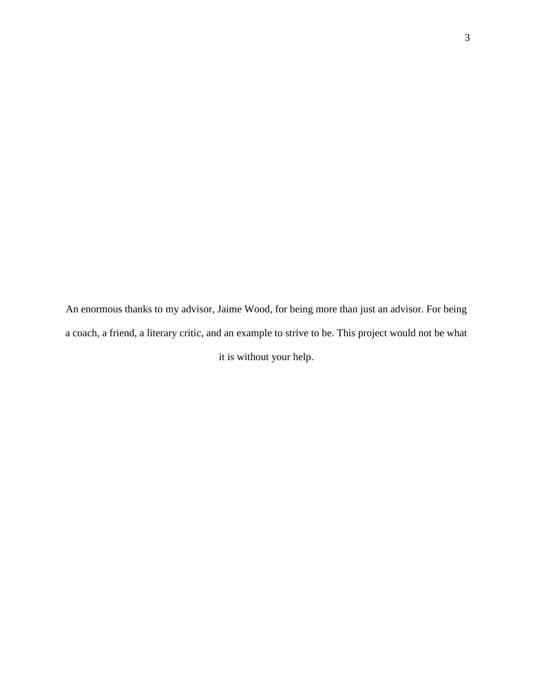An enormous thanks to my advisor, Jaime Wood, for being more than just an advisor. For being a coach, a friend, a literary critic, and an example to strive to be. This project would not be what it is without your help.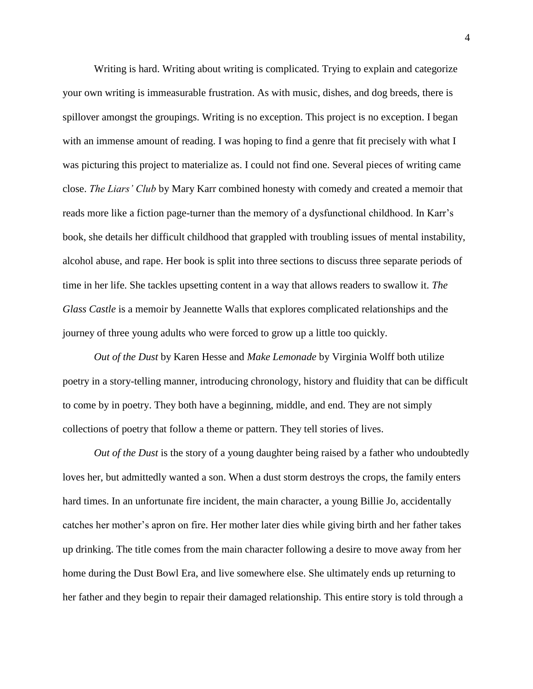Writing is hard. Writing about writing is complicated. Trying to explain and categorize your own writing is immeasurable frustration. As with music, dishes, and dog breeds, there is spillover amongst the groupings. Writing is no exception. This project is no exception. I began with an immense amount of reading. I was hoping to find a genre that fit precisely with what I was picturing this project to materialize as. I could not find one. Several pieces of writing came close. *The Liars' Club* by Mary Karr combined honesty with comedy and created a memoir that reads more like a fiction page-turner than the memory of a dysfunctional childhood. In Karr's book, she details her difficult childhood that grappled with troubling issues of mental instability, alcohol abuse, and rape. Her book is split into three sections to discuss three separate periods of time in her life. She tackles upsetting content in a way that allows readers to swallow it. *The Glass Castle* is a memoir by Jeannette Walls that explores complicated relationships and the journey of three young adults who were forced to grow up a little too quickly.

*Out of the Dust* by Karen Hesse and *Make Lemonade* by Virginia Wolff both utilize poetry in a story-telling manner, introducing chronology, history and fluidity that can be difficult to come by in poetry. They both have a beginning, middle, and end. They are not simply collections of poetry that follow a theme or pattern. They tell stories of lives.

*Out of the Dust* is the story of a young daughter being raised by a father who undoubtedly loves her, but admittedly wanted a son. When a dust storm destroys the crops, the family enters hard times. In an unfortunate fire incident, the main character, a young Billie Jo, accidentally catches her mother's apron on fire. Her mother later dies while giving birth and her father takes up drinking. The title comes from the main character following a desire to move away from her home during the Dust Bowl Era, and live somewhere else. She ultimately ends up returning to her father and they begin to repair their damaged relationship. This entire story is told through a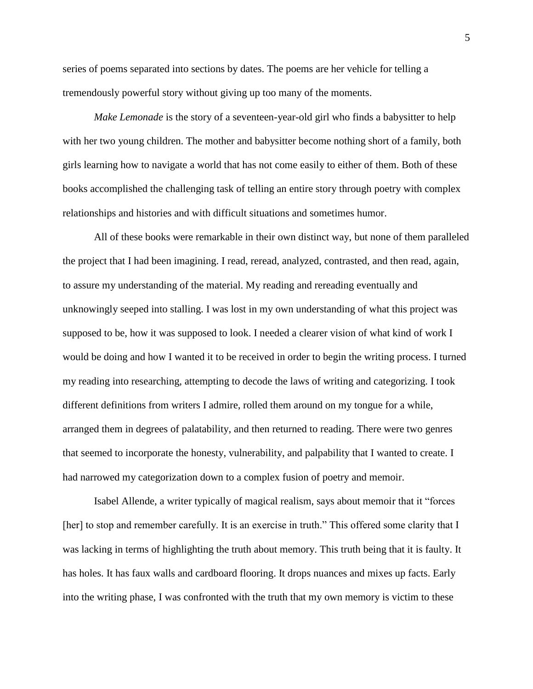series of poems separated into sections by dates. The poems are her vehicle for telling a tremendously powerful story without giving up too many of the moments.

*Make Lemonade* is the story of a seventeen-year-old girl who finds a babysitter to help with her two young children. The mother and babysitter become nothing short of a family, both girls learning how to navigate a world that has not come easily to either of them. Both of these books accomplished the challenging task of telling an entire story through poetry with complex relationships and histories and with difficult situations and sometimes humor.

All of these books were remarkable in their own distinct way, but none of them paralleled the project that I had been imagining. I read, reread, analyzed, contrasted, and then read, again, to assure my understanding of the material. My reading and rereading eventually and unknowingly seeped into stalling. I was lost in my own understanding of what this project was supposed to be, how it was supposed to look. I needed a clearer vision of what kind of work I would be doing and how I wanted it to be received in order to begin the writing process. I turned my reading into researching, attempting to decode the laws of writing and categorizing. I took different definitions from writers I admire, rolled them around on my tongue for a while, arranged them in degrees of palatability, and then returned to reading. There were two genres that seemed to incorporate the honesty, vulnerability, and palpability that I wanted to create. I had narrowed my categorization down to a complex fusion of poetry and memoir.

Isabel Allende, a writer typically of magical realism, says about memoir that it "forces [her] to stop and remember carefully. It is an exercise in truth." This offered some clarity that I was lacking in terms of highlighting the truth about memory. This truth being that it is faulty. It has holes. It has faux walls and cardboard flooring. It drops nuances and mixes up facts. Early into the writing phase, I was confronted with the truth that my own memory is victim to these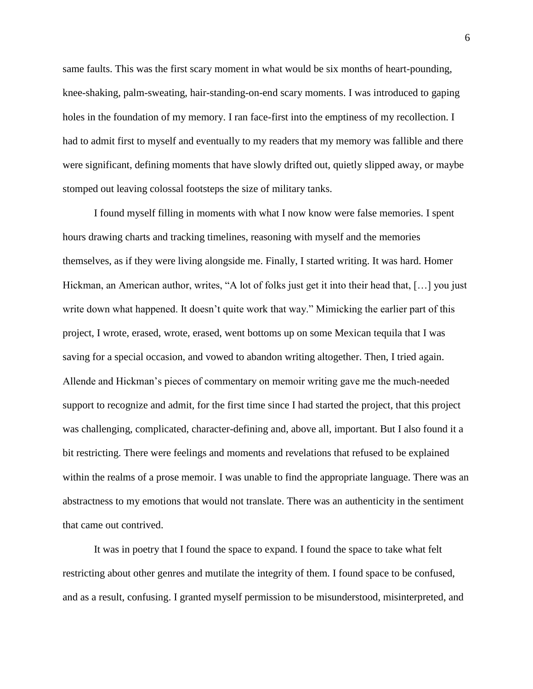same faults. This was the first scary moment in what would be six months of heart-pounding, knee-shaking, palm-sweating, hair-standing-on-end scary moments. I was introduced to gaping holes in the foundation of my memory. I ran face-first into the emptiness of my recollection. I had to admit first to myself and eventually to my readers that my memory was fallible and there were significant, defining moments that have slowly drifted out, quietly slipped away, or maybe stomped out leaving colossal footsteps the size of military tanks.

I found myself filling in moments with what I now know were false memories. I spent hours drawing charts and tracking timelines, reasoning with myself and the memories themselves, as if they were living alongside me. Finally, I started writing. It was hard. Homer Hickman, an American author, writes, "A lot of folks just get it into their head that, […] you just write down what happened. It doesn't quite work that way." Mimicking the earlier part of this project, I wrote, erased, wrote, erased, went bottoms up on some Mexican tequila that I was saving for a special occasion, and vowed to abandon writing altogether. Then, I tried again. Allende and Hickman's pieces of commentary on memoir writing gave me the much-needed support to recognize and admit, for the first time since I had started the project, that this project was challenging, complicated, character-defining and, above all, important. But I also found it a bit restricting. There were feelings and moments and revelations that refused to be explained within the realms of a prose memoir. I was unable to find the appropriate language. There was an abstractness to my emotions that would not translate. There was an authenticity in the sentiment that came out contrived.

It was in poetry that I found the space to expand. I found the space to take what felt restricting about other genres and mutilate the integrity of them. I found space to be confused, and as a result, confusing. I granted myself permission to be misunderstood, misinterpreted, and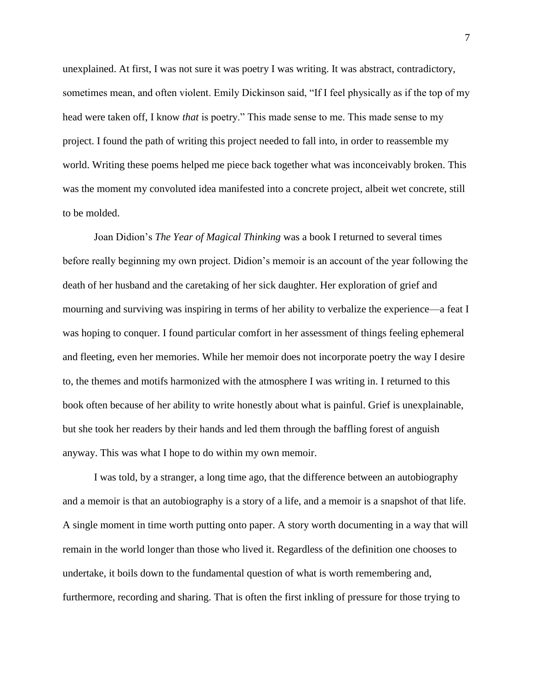unexplained. At first, I was not sure it was poetry I was writing. It was abstract, contradictory, sometimes mean, and often violent. Emily Dickinson said, "If I feel physically as if the top of my head were taken off, I know *that* is poetry." This made sense to me. This made sense to my project. I found the path of writing this project needed to fall into, in order to reassemble my world. Writing these poems helped me piece back together what was inconceivably broken. This was the moment my convoluted idea manifested into a concrete project, albeit wet concrete, still to be molded.

Joan Didion's *The Year of Magical Thinking* was a book I returned to several times before really beginning my own project. Didion's memoir is an account of the year following the death of her husband and the caretaking of her sick daughter. Her exploration of grief and mourning and surviving was inspiring in terms of her ability to verbalize the experience—a feat I was hoping to conquer. I found particular comfort in her assessment of things feeling ephemeral and fleeting, even her memories. While her memoir does not incorporate poetry the way I desire to, the themes and motifs harmonized with the atmosphere I was writing in. I returned to this book often because of her ability to write honestly about what is painful. Grief is unexplainable, but she took her readers by their hands and led them through the baffling forest of anguish anyway. This was what I hope to do within my own memoir.

I was told, by a stranger, a long time ago, that the difference between an autobiography and a memoir is that an autobiography is a story of a life, and a memoir is a snapshot of that life. A single moment in time worth putting onto paper. A story worth documenting in a way that will remain in the world longer than those who lived it. Regardless of the definition one chooses to undertake, it boils down to the fundamental question of what is worth remembering and, furthermore, recording and sharing. That is often the first inkling of pressure for those trying to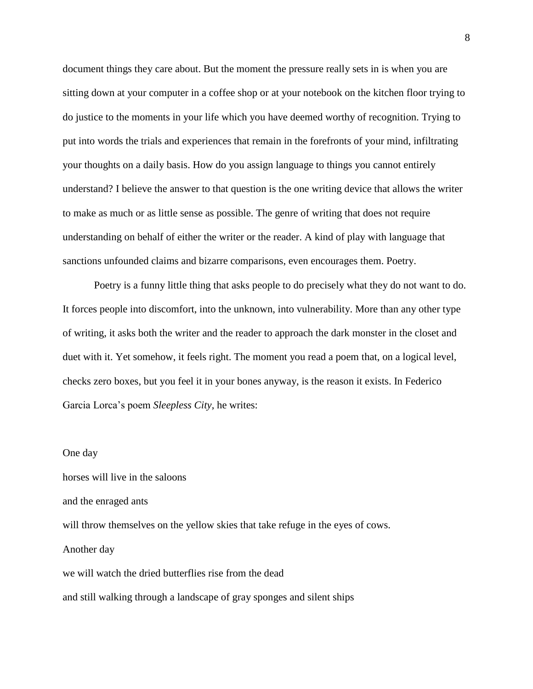document things they care about. But the moment the pressure really sets in is when you are sitting down at your computer in a coffee shop or at your notebook on the kitchen floor trying to do justice to the moments in your life which you have deemed worthy of recognition. Trying to put into words the trials and experiences that remain in the forefronts of your mind, infiltrating your thoughts on a daily basis. How do you assign language to things you cannot entirely understand? I believe the answer to that question is the one writing device that allows the writer to make as much or as little sense as possible. The genre of writing that does not require understanding on behalf of either the writer or the reader. A kind of play with language that sanctions unfounded claims and bizarre comparisons, even encourages them. Poetry.

Poetry is a funny little thing that asks people to do precisely what they do not want to do. It forces people into discomfort, into the unknown, into vulnerability. More than any other type of writing, it asks both the writer and the reader to approach the dark monster in the closet and duet with it. Yet somehow, it feels right. The moment you read a poem that, on a logical level, checks zero boxes, but you feel it in your bones anyway, is the reason it exists. In Federico Garcia Lorca's poem *Sleepless City*, he writes:

#### One day

horses will live in the saloons and the enraged ants will throw themselves on the yellow skies that take refuge in the eyes of cows. Another day we will watch the dried butterflies rise from the dead and still walking through a landscape of gray sponges and silent ships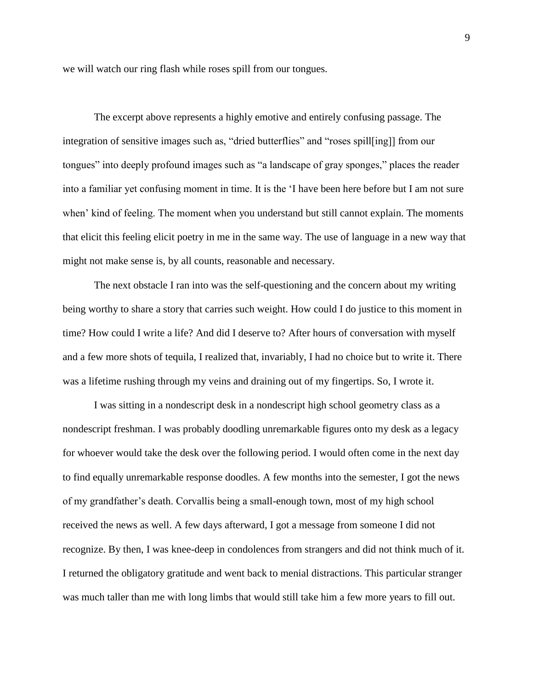we will watch our ring flash while roses spill from our tongues.

The excerpt above represents a highly emotive and entirely confusing passage. The integration of sensitive images such as, "dried butterflies" and "roses spill[ing]] from our tongues" into deeply profound images such as "a landscape of gray sponges," places the reader into a familiar yet confusing moment in time. It is the 'I have been here before but I am not sure when' kind of feeling. The moment when you understand but still cannot explain. The moments that elicit this feeling elicit poetry in me in the same way. The use of language in a new way that might not make sense is, by all counts, reasonable and necessary.

The next obstacle I ran into was the self-questioning and the concern about my writing being worthy to share a story that carries such weight. How could I do justice to this moment in time? How could I write a life? And did I deserve to? After hours of conversation with myself and a few more shots of tequila, I realized that, invariably, I had no choice but to write it. There was a lifetime rushing through my veins and draining out of my fingertips. So, I wrote it.

I was sitting in a nondescript desk in a nondescript high school geometry class as a nondescript freshman. I was probably doodling unremarkable figures onto my desk as a legacy for whoever would take the desk over the following period. I would often come in the next day to find equally unremarkable response doodles. A few months into the semester, I got the news of my grandfather's death. Corvallis being a small-enough town, most of my high school received the news as well. A few days afterward, I got a message from someone I did not recognize. By then, I was knee-deep in condolences from strangers and did not think much of it. I returned the obligatory gratitude and went back to menial distractions. This particular stranger was much taller than me with long limbs that would still take him a few more years to fill out.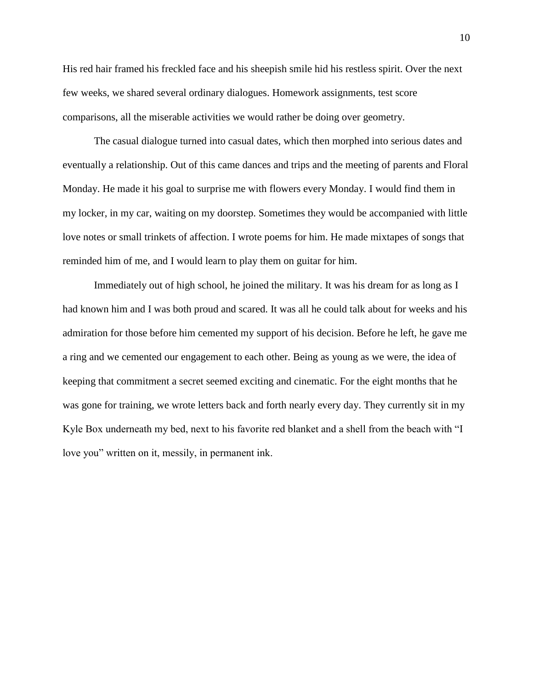His red hair framed his freckled face and his sheepish smile hid his restless spirit. Over the next few weeks, we shared several ordinary dialogues. Homework assignments, test score comparisons, all the miserable activities we would rather be doing over geometry.

The casual dialogue turned into casual dates, which then morphed into serious dates and eventually a relationship. Out of this came dances and trips and the meeting of parents and Floral Monday. He made it his goal to surprise me with flowers every Monday. I would find them in my locker, in my car, waiting on my doorstep. Sometimes they would be accompanied with little love notes or small trinkets of affection. I wrote poems for him. He made mixtapes of songs that reminded him of me, and I would learn to play them on guitar for him.

Immediately out of high school, he joined the military. It was his dream for as long as I had known him and I was both proud and scared. It was all he could talk about for weeks and his admiration for those before him cemented my support of his decision. Before he left, he gave me a ring and we cemented our engagement to each other. Being as young as we were, the idea of keeping that commitment a secret seemed exciting and cinematic. For the eight months that he was gone for training, we wrote letters back and forth nearly every day. They currently sit in my Kyle Box underneath my bed, next to his favorite red blanket and a shell from the beach with "I love you" written on it, messily, in permanent ink.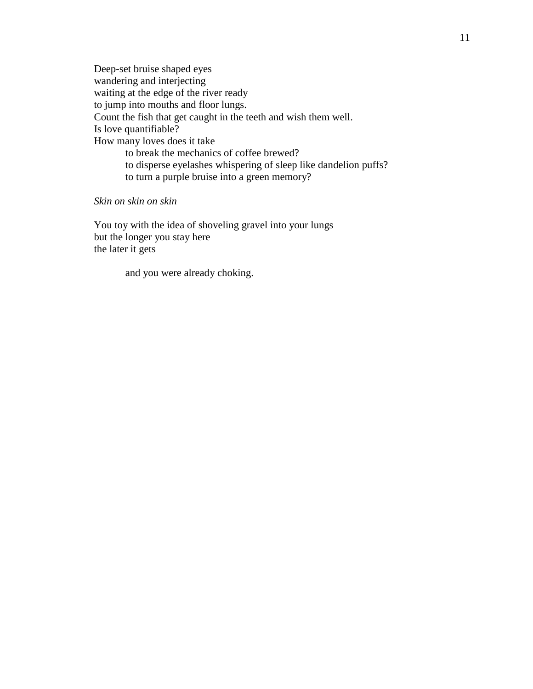Deep-set bruise shaped eyes wandering and interjecting waiting at the edge of the river ready to jump into mouths and floor lungs. Count the fish that get caught in the teeth and wish them well. Is love quantifiable? How many loves does it take to break the mechanics of coffee brewed? to disperse eyelashes whispering of sleep like dandelion puffs? to turn a purple bruise into a green memory?

*Skin on skin on skin*

You toy with the idea of shoveling gravel into your lungs but the longer you stay here the later it gets

and you were already choking.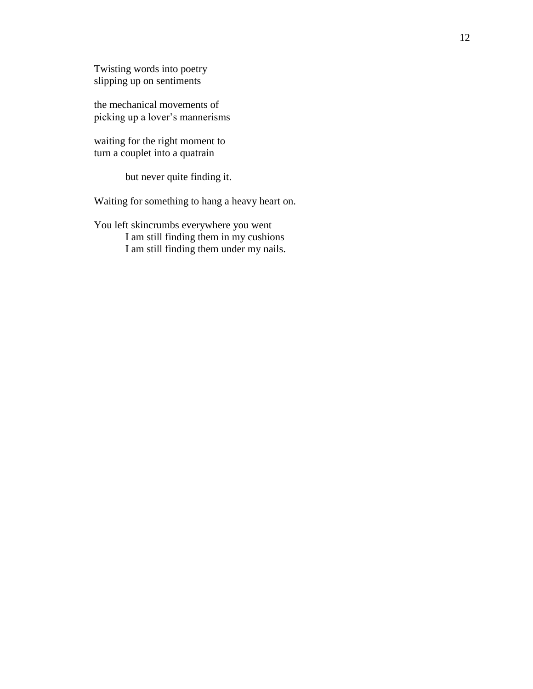Twisting words into poetry slipping up on sentiments

the mechanical movements of picking up a lover's mannerisms

waiting for the right moment to turn a couplet into a quatrain

but never quite finding it.

Waiting for something to hang a heavy heart on.

You left skincrumbs everywhere you went I am still finding them in my cushions I am still finding them under my nails.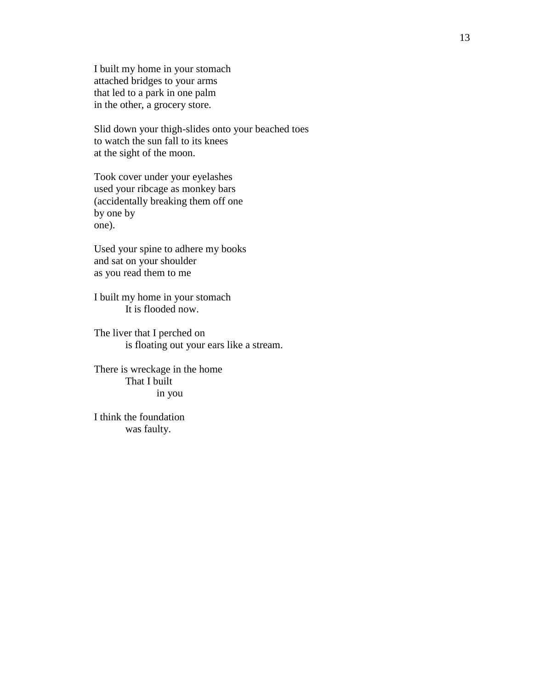I built my home in your stomach attached bridges to your arms that led to a park in one palm in the other, a grocery store.

Slid down your thigh-slides onto your beached toes to watch the sun fall to its knees at the sight of the moon.

Took cover under your eyelashes used your ribcage as monkey bars (accidentally breaking them off one by one by one).

Used your spine to adhere my books and sat on your shoulder as you read them to me

I built my home in your stomach It is flooded now.

The liver that I perched on is floating out your ears like a stream.

There is wreckage in the home That I built in you

I think the foundation was faulty.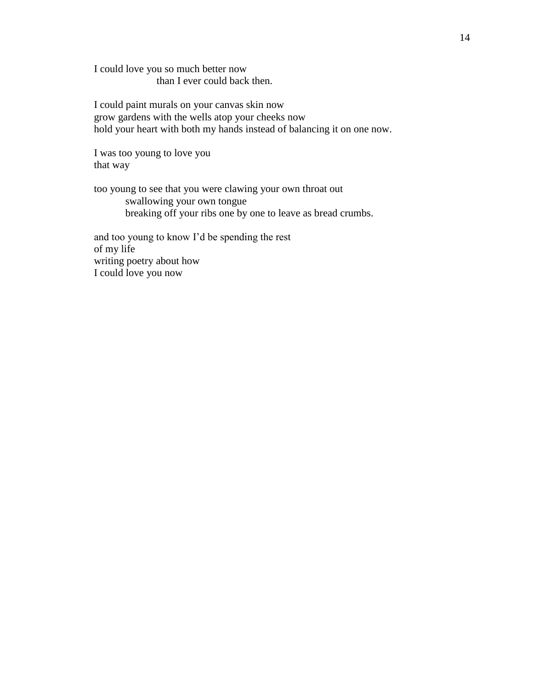I could love you so much better now than I ever could back then.

I could paint murals on your canvas skin now grow gardens with the wells atop your cheeks now hold your heart with both my hands instead of balancing it on one now.

I was too young to love you that way

too young to see that you were clawing your own throat out swallowing your own tongue breaking off your ribs one by one to leave as bread crumbs.

and too young to know I'd be spending the rest of my life writing poetry about how I could love you now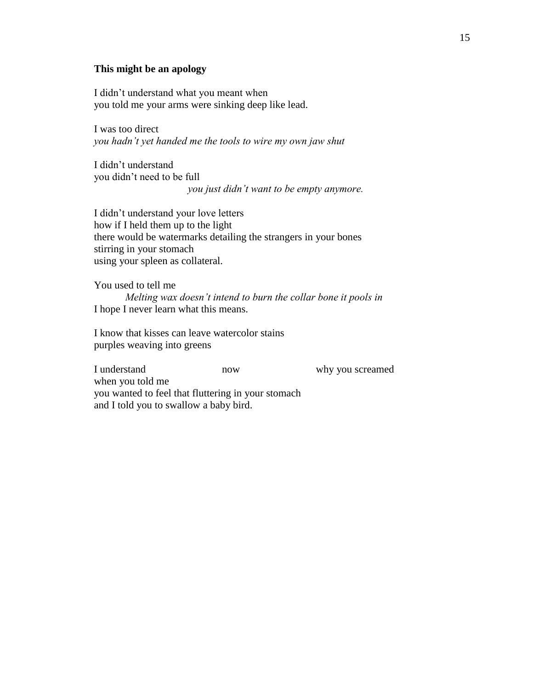#### **This might be an apology**

I didn't understand what you meant when you told me your arms were sinking deep like lead.

I was too direct *you hadn't yet handed me the tools to wire my own jaw shut*

I didn't understand you didn't need to be full *you just didn't want to be empty anymore.*

I didn't understand your love letters how if I held them up to the light there would be watermarks detailing the strangers in your bones stirring in your stomach using your spleen as collateral.

You used to tell me  *Melting wax doesn't intend to burn the collar bone it pools in* I hope I never learn what this means.

I know that kisses can leave watercolor stains purples weaving into greens

I understand now now why you screamed when you told me you wanted to feel that fluttering in your stomach and I told you to swallow a baby bird.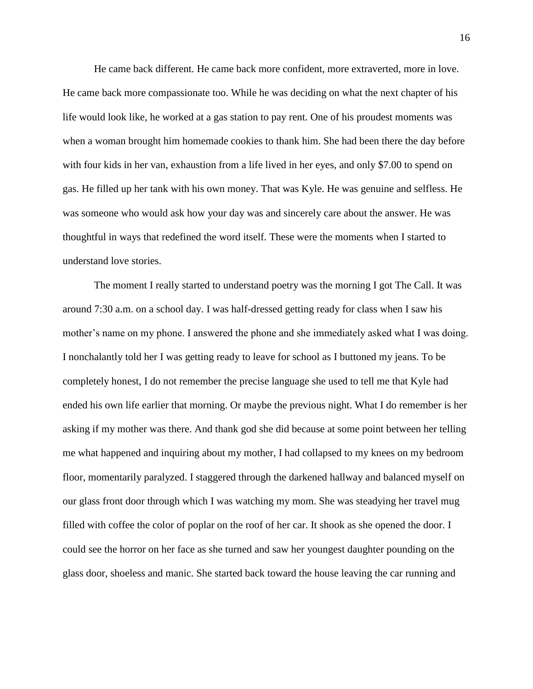He came back different. He came back more confident, more extraverted, more in love. He came back more compassionate too. While he was deciding on what the next chapter of his life would look like, he worked at a gas station to pay rent. One of his proudest moments was when a woman brought him homemade cookies to thank him. She had been there the day before with four kids in her van, exhaustion from a life lived in her eyes, and only \$7.00 to spend on gas. He filled up her tank with his own money. That was Kyle. He was genuine and selfless. He was someone who would ask how your day was and sincerely care about the answer. He was thoughtful in ways that redefined the word itself. These were the moments when I started to understand love stories.

The moment I really started to understand poetry was the morning I got The Call. It was around 7:30 a.m. on a school day. I was half-dressed getting ready for class when I saw his mother's name on my phone. I answered the phone and she immediately asked what I was doing. I nonchalantly told her I was getting ready to leave for school as I buttoned my jeans. To be completely honest, I do not remember the precise language she used to tell me that Kyle had ended his own life earlier that morning. Or maybe the previous night. What I do remember is her asking if my mother was there. And thank god she did because at some point between her telling me what happened and inquiring about my mother, I had collapsed to my knees on my bedroom floor, momentarily paralyzed. I staggered through the darkened hallway and balanced myself on our glass front door through which I was watching my mom. She was steadying her travel mug filled with coffee the color of poplar on the roof of her car. It shook as she opened the door. I could see the horror on her face as she turned and saw her youngest daughter pounding on the glass door, shoeless and manic. She started back toward the house leaving the car running and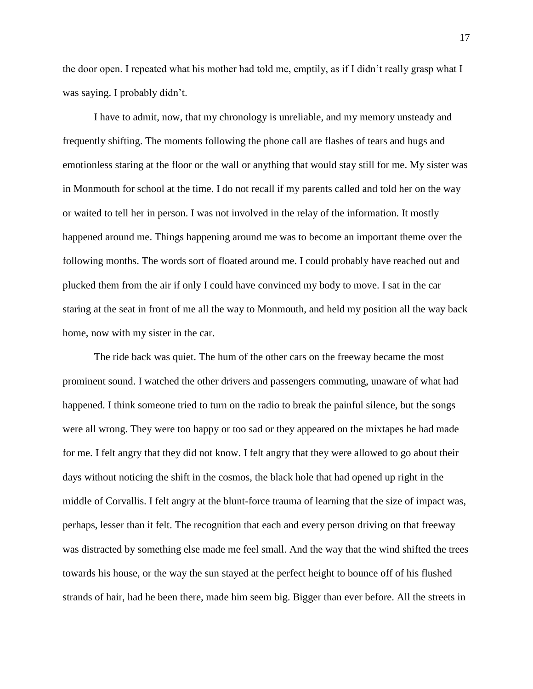the door open. I repeated what his mother had told me, emptily, as if I didn't really grasp what I was saying. I probably didn't.

I have to admit, now, that my chronology is unreliable, and my memory unsteady and frequently shifting. The moments following the phone call are flashes of tears and hugs and emotionless staring at the floor or the wall or anything that would stay still for me. My sister was in Monmouth for school at the time. I do not recall if my parents called and told her on the way or waited to tell her in person. I was not involved in the relay of the information. It mostly happened around me. Things happening around me was to become an important theme over the following months. The words sort of floated around me. I could probably have reached out and plucked them from the air if only I could have convinced my body to move. I sat in the car staring at the seat in front of me all the way to Monmouth, and held my position all the way back home, now with my sister in the car.

The ride back was quiet. The hum of the other cars on the freeway became the most prominent sound. I watched the other drivers and passengers commuting, unaware of what had happened. I think someone tried to turn on the radio to break the painful silence, but the songs were all wrong. They were too happy or too sad or they appeared on the mixtapes he had made for me. I felt angry that they did not know. I felt angry that they were allowed to go about their days without noticing the shift in the cosmos, the black hole that had opened up right in the middle of Corvallis. I felt angry at the blunt-force trauma of learning that the size of impact was, perhaps, lesser than it felt. The recognition that each and every person driving on that freeway was distracted by something else made me feel small. And the way that the wind shifted the trees towards his house, or the way the sun stayed at the perfect height to bounce off of his flushed strands of hair, had he been there, made him seem big. Bigger than ever before. All the streets in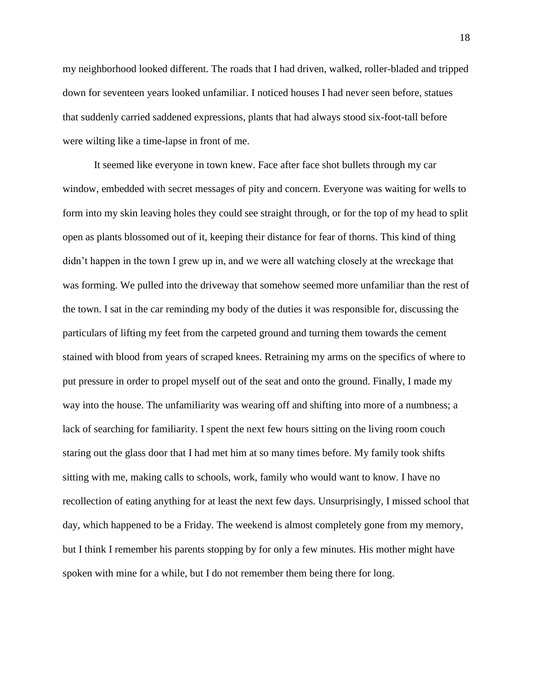my neighborhood looked different. The roads that I had driven, walked, roller-bladed and tripped down for seventeen years looked unfamiliar. I noticed houses I had never seen before, statues that suddenly carried saddened expressions, plants that had always stood six-foot-tall before were wilting like a time-lapse in front of me.

It seemed like everyone in town knew. Face after face shot bullets through my car window, embedded with secret messages of pity and concern. Everyone was waiting for wells to form into my skin leaving holes they could see straight through, or for the top of my head to split open as plants blossomed out of it, keeping their distance for fear of thorns. This kind of thing didn't happen in the town I grew up in, and we were all watching closely at the wreckage that was forming. We pulled into the driveway that somehow seemed more unfamiliar than the rest of the town. I sat in the car reminding my body of the duties it was responsible for, discussing the particulars of lifting my feet from the carpeted ground and turning them towards the cement stained with blood from years of scraped knees. Retraining my arms on the specifics of where to put pressure in order to propel myself out of the seat and onto the ground. Finally, I made my way into the house. The unfamiliarity was wearing off and shifting into more of a numbness; a lack of searching for familiarity. I spent the next few hours sitting on the living room couch staring out the glass door that I had met him at so many times before. My family took shifts sitting with me, making calls to schools, work, family who would want to know. I have no recollection of eating anything for at least the next few days. Unsurprisingly, I missed school that day, which happened to be a Friday. The weekend is almost completely gone from my memory, but I think I remember his parents stopping by for only a few minutes. His mother might have spoken with mine for a while, but I do not remember them being there for long.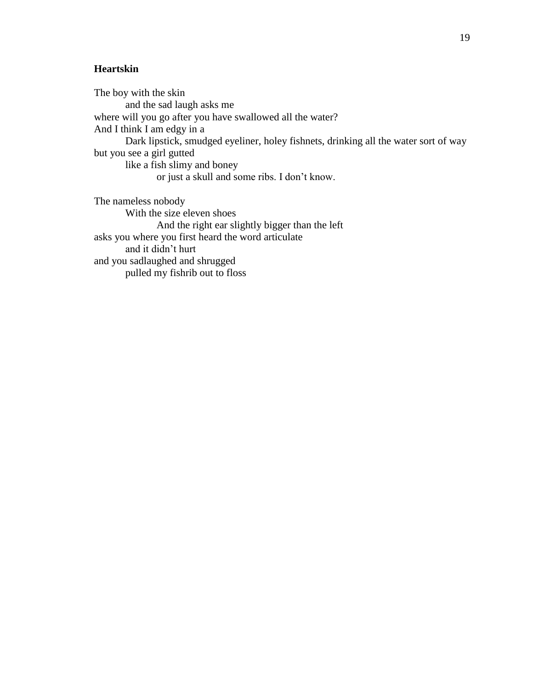## **Heartskin**

The boy with the skin and the sad laugh asks me where will you go after you have swallowed all the water? And I think I am edgy in a Dark lipstick, smudged eyeliner, holey fishnets, drinking all the water sort of way but you see a girl gutted like a fish slimy and boney or just a skull and some ribs. I don't know.

The nameless nobody With the size eleven shoes And the right ear slightly bigger than the left asks you where you first heard the word articulate and it didn't hurt and you sadlaughed and shrugged pulled my fishrib out to floss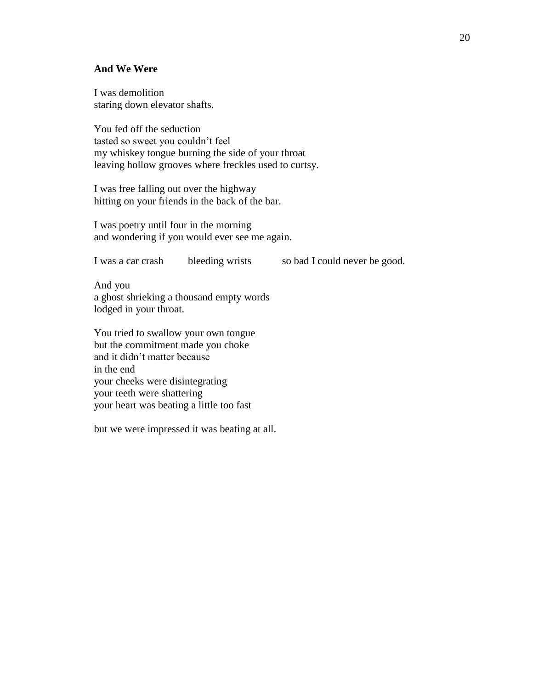#### **And We Were**

I was demolition staring down elevator shafts.

You fed off the seduction tasted so sweet you couldn't feel my whiskey tongue burning the side of your throat leaving hollow grooves where freckles used to curtsy.

I was free falling out over the highway hitting on your friends in the back of the bar.

I was poetry until four in the morning and wondering if you would ever see me again.

I was a car crash bleeding wrists so bad I could never be good.

And you a ghost shrieking a thousand empty words lodged in your throat.

You tried to swallow your own tongue but the commitment made you choke and it didn't matter because in the end your cheeks were disintegrating your teeth were shattering your heart was beating a little too fast

but we were impressed it was beating at all.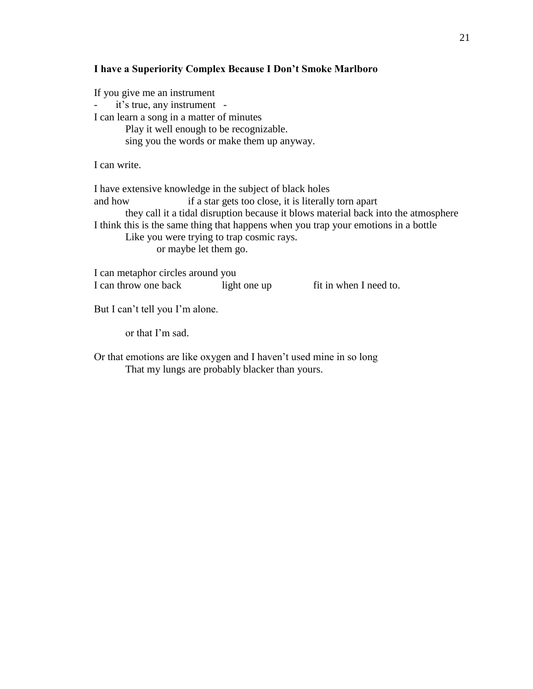#### **I have a Superiority Complex Because I Don't Smoke Marlboro**

If you give me an instrument it's true, any instrument -I can learn a song in a matter of minutes Play it well enough to be recognizable. sing you the words or make them up anyway. I can write. I have extensive knowledge in the subject of black holes and how if a star gets too close, it is literally torn apart they call it a tidal disruption because it blows material back into the atmosphere I think this is the same thing that happens when you trap your emotions in a bottle Like you were trying to trap cosmic rays. or maybe let them go.

I can metaphor circles around you I can throw one back light one up fit in when I need to.

But I can't tell you I'm alone.

or that I'm sad.

Or that emotions are like oxygen and I haven't used mine in so long That my lungs are probably blacker than yours.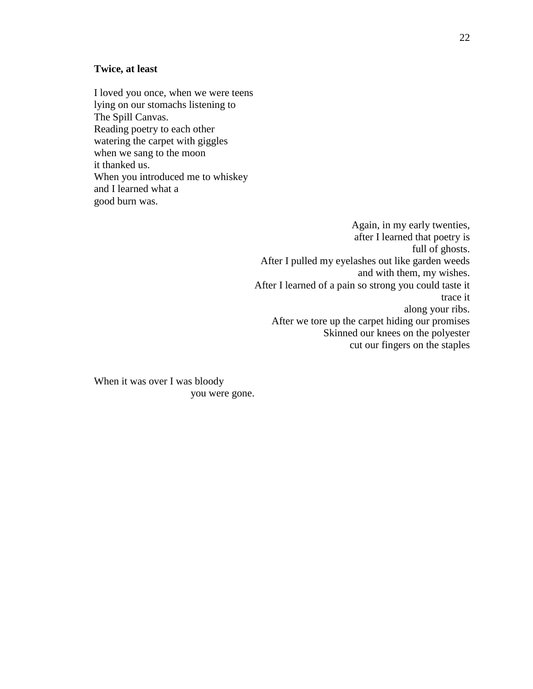#### **Twice, at least**

I loved you once, when we were teens lying on our stomachs listening to The Spill Canvas. Reading poetry to each other watering the carpet with giggles when we sang to the moon it thanked us. When you introduced me to whiskey and I learned what a good burn was.

> Again, in my early twenties, after I learned that poetry is full of ghosts. After I pulled my eyelashes out like garden weeds and with them, my wishes. After I learned of a pain so strong you could taste it trace it along your ribs. After we tore up the carpet hiding our promises Skinned our knees on the polyester cut our fingers on the staples

When it was over I was bloody you were gone.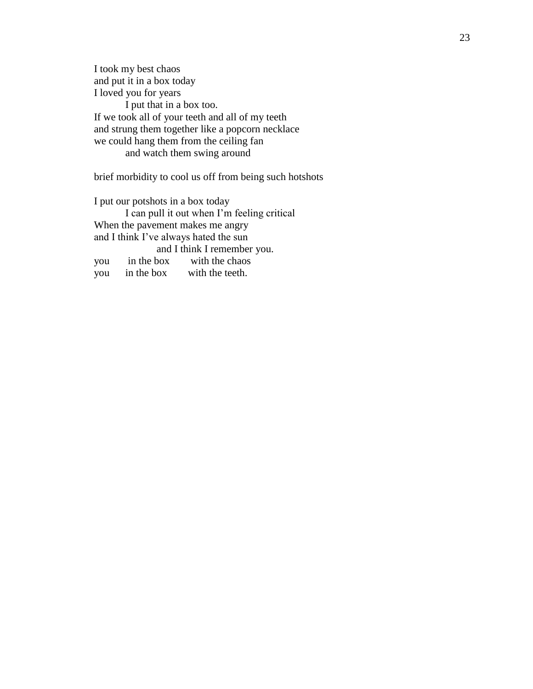I took my best chaos and put it in a box today I loved you for years I put that in a box too. If we took all of your teeth and all of my teeth and strung them together like a popcorn necklace we could hang them from the ceiling fan and watch them swing around

brief morbidity to cool us off from being such hotshots

I put our potshots in a box today I can pull it out when I'm feeling critical When the pavement makes me angry and I think I've always hated the sun and I think I remember you. you in the box with the chaos you in the box with the teeth.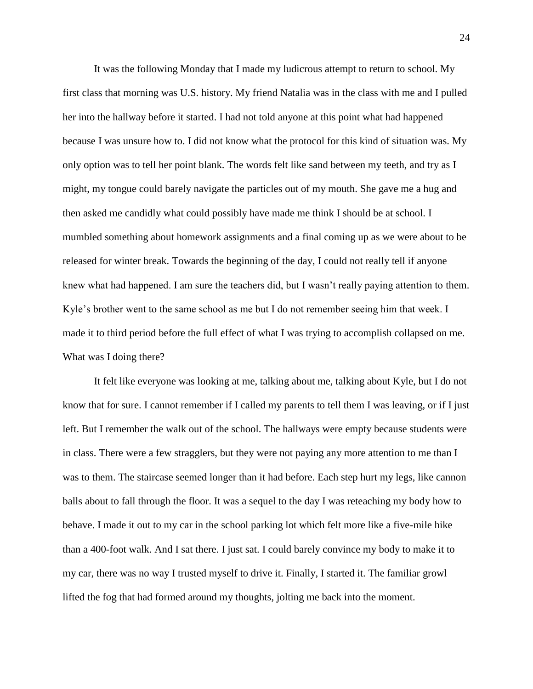It was the following Monday that I made my ludicrous attempt to return to school. My first class that morning was U.S. history. My friend Natalia was in the class with me and I pulled her into the hallway before it started. I had not told anyone at this point what had happened because I was unsure how to. I did not know what the protocol for this kind of situation was. My only option was to tell her point blank. The words felt like sand between my teeth, and try as I might, my tongue could barely navigate the particles out of my mouth. She gave me a hug and then asked me candidly what could possibly have made me think I should be at school. I mumbled something about homework assignments and a final coming up as we were about to be released for winter break. Towards the beginning of the day, I could not really tell if anyone knew what had happened. I am sure the teachers did, but I wasn't really paying attention to them. Kyle's brother went to the same school as me but I do not remember seeing him that week. I made it to third period before the full effect of what I was trying to accomplish collapsed on me. What was I doing there?

It felt like everyone was looking at me, talking about me, talking about Kyle, but I do not know that for sure. I cannot remember if I called my parents to tell them I was leaving, or if I just left. But I remember the walk out of the school. The hallways were empty because students were in class. There were a few stragglers, but they were not paying any more attention to me than I was to them. The staircase seemed longer than it had before. Each step hurt my legs, like cannon balls about to fall through the floor. It was a sequel to the day I was reteaching my body how to behave. I made it out to my car in the school parking lot which felt more like a five-mile hike than a 400-foot walk. And I sat there. I just sat. I could barely convince my body to make it to my car, there was no way I trusted myself to drive it. Finally, I started it. The familiar growl lifted the fog that had formed around my thoughts, jolting me back into the moment.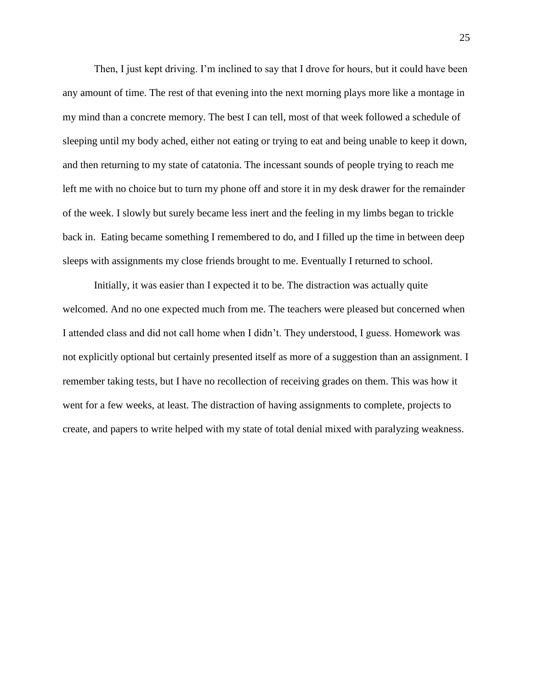Then, I just kept driving. I'm inclined to say that I drove for hours, but it could have been any amount of time. The rest of that evening into the next morning plays more like a montage in my mind than a concrete memory. The best I can tell, most of that week followed a schedule of sleeping until my body ached, either not eating or trying to eat and being unable to keep it down, and then returning to my state of catatonia. The incessant sounds of people trying to reach me left me with no choice but to turn my phone off and store it in my desk drawer for the remainder of the week. I slowly but surely became less inert and the feeling in my limbs began to trickle back in. Eating became something I remembered to do, and I filled up the time in between deep sleeps with assignments my close friends brought to me. Eventually I returned to school.

Initially, it was easier than I expected it to be. The distraction was actually quite welcomed. And no one expected much from me. The teachers were pleased but concerned when I attended class and did not call home when I didn't. They understood, I guess. Homework was not explicitly optional but certainly presented itself as more of a suggestion than an assignment. I remember taking tests, but I have no recollection of receiving grades on them. This was how it went for a few weeks, at least. The distraction of having assignments to complete, projects to create, and papers to write helped with my state of total denial mixed with paralyzing weakness.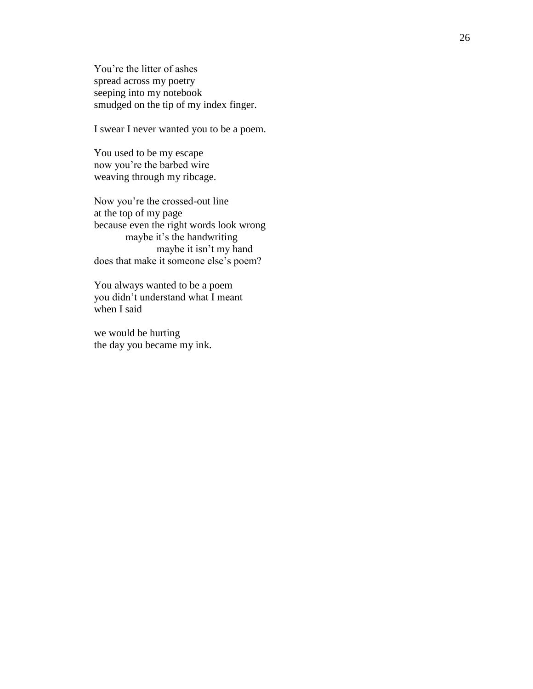You're the litter of ashes spread across my poetry seeping into my notebook smudged on the tip of my index finger.

I swear I never wanted you to be a poem.

You used to be my escape now you're the barbed wire weaving through my ribcage.

Now you're the crossed -out line at the top of my page because even the right words look wrong maybe it's the handwriting maybe it isn't my hand does that make it someone else's poem?

You always wanted to be a poem you didn't understand what I meant when I said

we would be hurting the day you became my ink.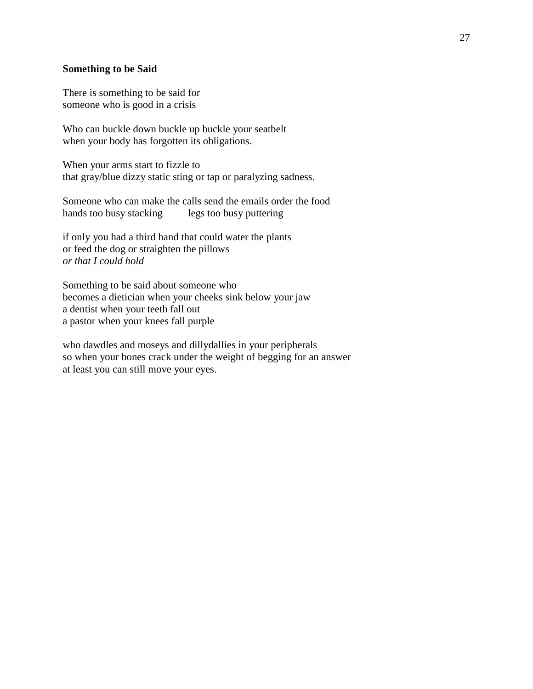#### **Something to be Said**

There is something to be said for someone who is good in a crisis

Who can buckle down buckle up buckle your seatbelt when your body has forgotten its obligations.

When your arms start to fizzle to that gray/blue dizzy static sting or tap or paralyzing sadness.

Someone who can make the calls send the emails order the food hands too busy stacking legs too busy puttering

if only you had a third hand that could water the plants or feed the dog or straighten the pillows *or that I could hold*

Something to be said about someone who becomes a dietician when your cheeks sink below your jaw a dentist when your teeth fall out a pastor when your knees fall purple

who dawdles and moseys and dillydallies in your peripherals so when your bones crack under the weight of begging for an answer at least you can still move your eyes.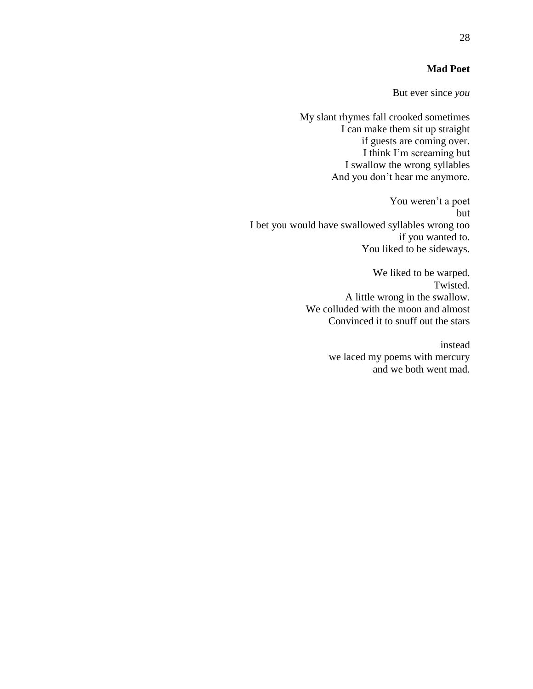### **Mad Poet**

But ever since *you*

My slant rhymes fall crooked sometimes I can make them sit up straight if guests are coming over. I think I'm screaming but I swallow the wrong syllables And you don't hear me anymore.

You weren't a poet but I bet you would have swallowed syllables wrong too if you wanted to. You liked to be sideways.

> We liked to be warped. Twisted. A little wrong in the swallow. We colluded with the moon and almost Convinced it to snuff out the stars

> > instead we laced my poems with mercury and we both went mad.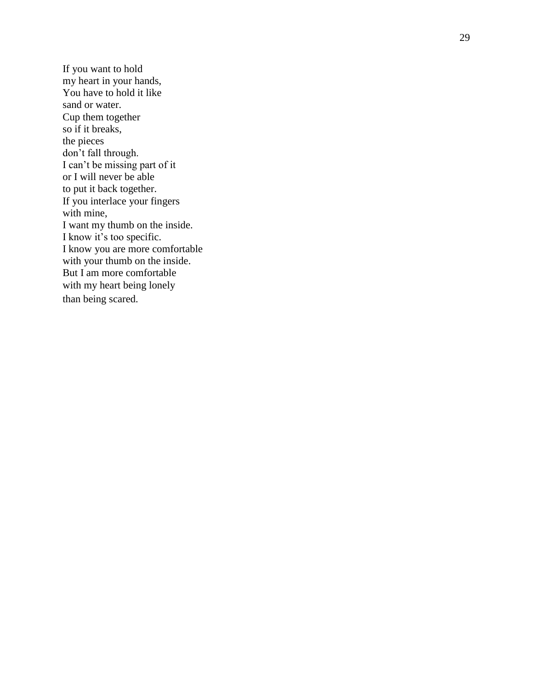If you want to hold my heart in your hands, You have to hold it like sand or water. Cup them together so if it breaks, the pieces don't fall through. I can't be missing part of it or I will never be able to put it back together. If you interlace your fingers with mine, I want my thumb on the inside. I know it's too specific. I know you are more comfortable with your thumb on the inside. But I am more comfortable with my heart being lonely than being scared.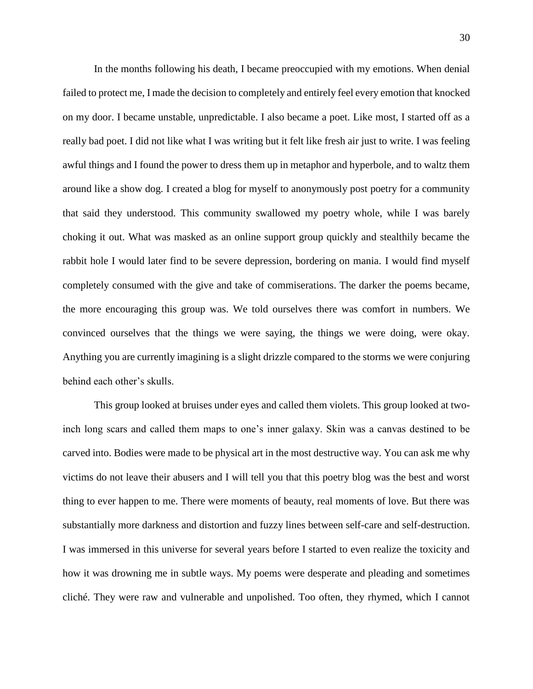In the months following his death, I became preoccupied with my emotions. When denial failed to protect me, I made the decision to completely and entirely feel every emotion that knocked on my door. I became unstable, unpredictable. I also became a poet. Like most, I started off as a really bad poet. I did not like what I was writing but it felt like fresh air just to write. I was feeling awful things and I found the power to dress them up in metaphor and hyperbole, and to waltz them around like a show dog. I created a blog for myself to anonymously post poetry for a community that said they understood. This community swallowed my poetry whole, while I was barely choking it out. What was masked as an online support group quickly and stealthily became the rabbit hole I would later find to be severe depression, bordering on mania. I would find myself completely consumed with the give and take of commiserations. The darker the poems became, the more encouraging this group was. We told ourselves there was comfort in numbers. We convinced ourselves that the things we were saying, the things we were doing, were okay. Anything you are currently imagining is a slight drizzle compared to the storms we were conjuring behind each other's skulls.

This group looked at bruises under eyes and called them violets. This group looked at twoinch long scars and called them maps to one's inner galaxy. Skin was a canvas destined to be carved into. Bodies were made to be physical art in the most destructive way. You can ask me why victims do not leave their abusers and I will tell you that this poetry blog was the best and worst thing to ever happen to me. There were moments of beauty, real moments of love. But there was substantially more darkness and distortion and fuzzy lines between self-care and self-destruction. I was immersed in this universe for several years before I started to even realize the toxicity and how it was drowning me in subtle ways. My poems were desperate and pleading and sometimes cliché. They were raw and vulnerable and unpolished. Too often, they rhymed, which I cannot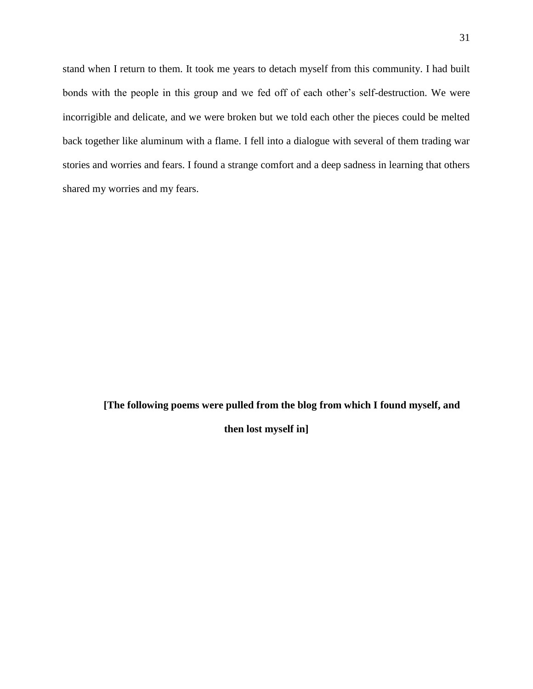stand when I return to them. It took me years to detach myself from this community. I had built bonds with the people in this group and we fed off of each other's self-destruction. We were incorrigible and delicate, and we were broken but we told each other the pieces could be melted back together like aluminum with a flame. I fell into a dialogue with several of them trading war stories and worries and fears. I found a strange comfort and a deep sadness in learning that others shared my worries and my fears.

**[The following poems were pulled from the blog from which I found myself, and** 

**then lost myself in]**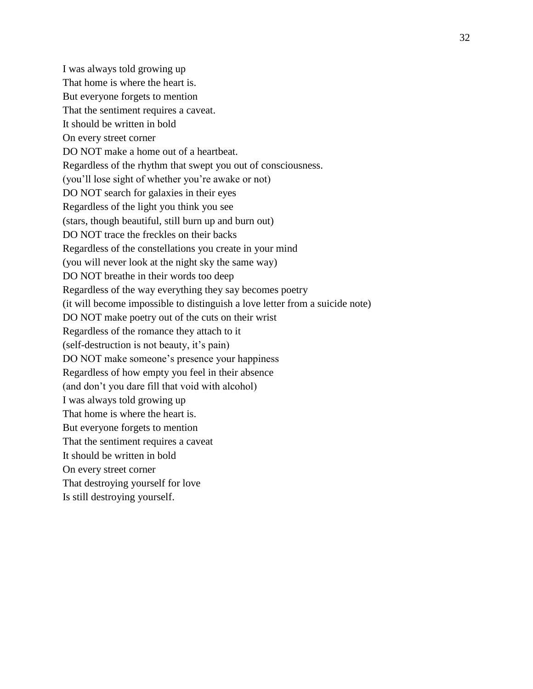I was always told growing up That home is where the heart is. But everyone forgets to mention That the sentiment requires a caveat. It should be written in bold On every street corner DO NOT make a home out of a heartbeat. Regardless of the rhythm that swept you out of consciousness. (you'll lose sight of whether you're awake or not) DO NOT search for galaxies in their eyes Regardless of the light you think you see (stars, though beautiful, still burn up and burn out) DO NOT trace the freckles on their backs Regardless of the constellations you create in your mind (you will never look at the night sky the same way) DO NOT breathe in their words too deep Regardless of the way everything they say becomes poetry (it will become impossible to distinguish a love letter from a suicide note) DO NOT make poetry out of the cuts on their wrist Regardless of the romance they attach to it (self-destruction is not beauty, it's pain) DO NOT make someone's presence your happiness Regardless of how empty you feel in their absence (and don't you dare fill that void with alcohol) I was always told growing up That home is where the heart is. But everyone forgets to mention That the sentiment requires a caveat It should be written in bold On every street corner That destroying yourself for love Is still destroying yourself.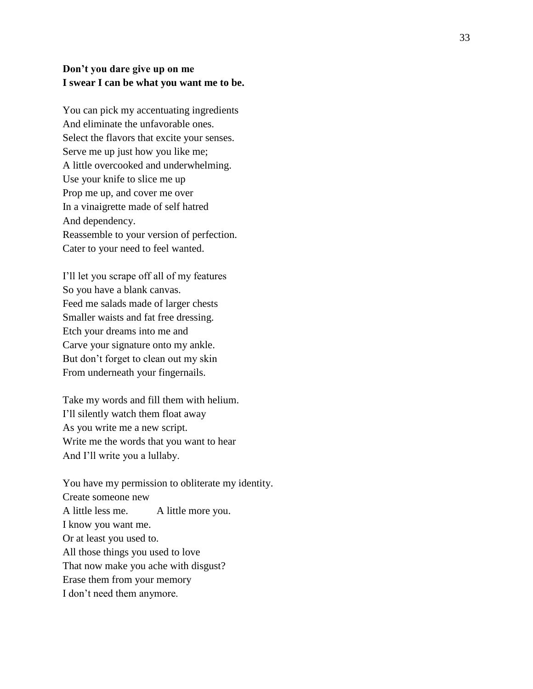### **Don't you dare give up on me I swear I can be what you want me to be.**

You can pick my accentuating ingredients And eliminate the unfavorable ones. Select the flavors that excite your senses. Serve me up just how you like me; A little overcooked and underwhelming. Use your knife to slice me up Prop me up, and cover me over In a vinaigrette made of self hatred And dependency. Reassemble to your version of perfection. Cater to your need to feel wanted.

I'll let you scrape off all of my features So you have a blank canvas. Feed me salads made of larger chests Smaller waists and fat free dressing. Etch your dreams into me and Carve your signature onto my ankle. But don't forget to clean out my skin From underneath your fingernails.

Take my words and fill them with helium. I'll silently watch them float away As you write me a new script. Write me the words that you want to hear And I'll write you a lullaby.

You have my permission to obliterate my identity. Create someone new A little less me. A little more you. I know you want me. Or at least you used to. All those things you used to love That now make you ache with disgust? Erase them from your memory I don't need them anymore.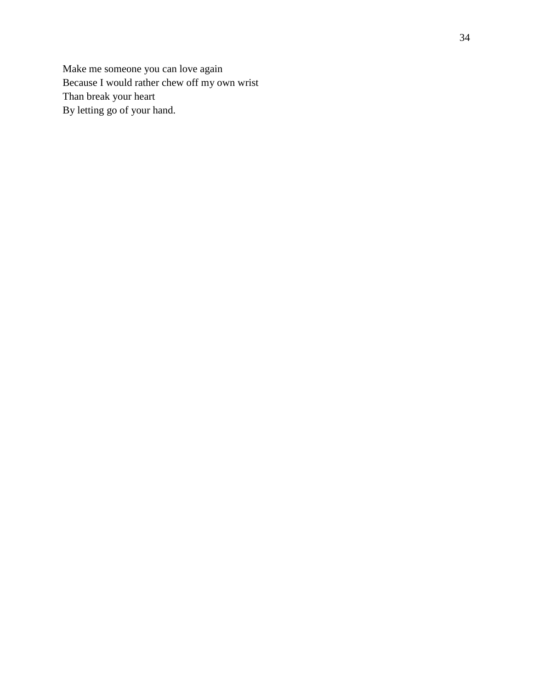Make me someone you can love again Because I would rather chew off my own wrist Than break your heart By letting go of your hand.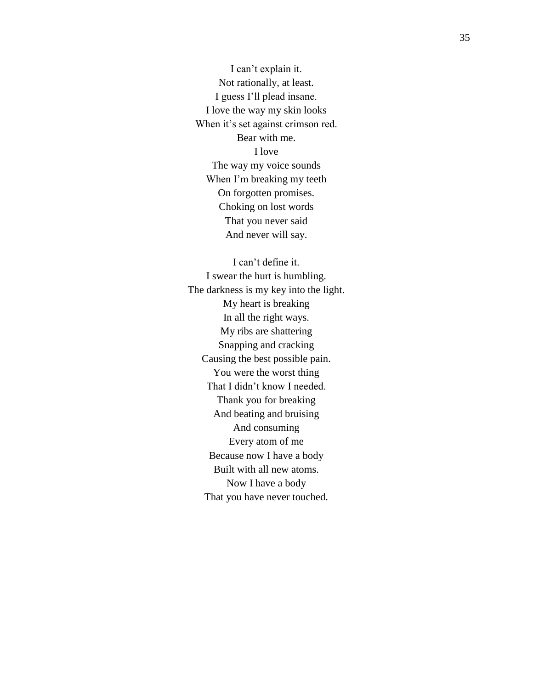I can't explain it. Not rationally, at least. I guess I'll plead insane. I love the way my skin looks When it's set against crimson red. Bear with me. I love The way my voice sounds When I'm breaking my teeth On forgotten promises. Choking on lost words That you never said And never will say.

I can't define it. I swear the hurt is humbling. The darkness is my key into the light. My heart is breaking In all the right ways. My ribs are shattering Snapping and cracking Causing the best possible pain. You were the worst thing That I didn't know I needed. Thank you for breaking And beating and bruising And consuming Every atom of me Because now I have a body Built with all new atoms. Now I have a body That you have never touched.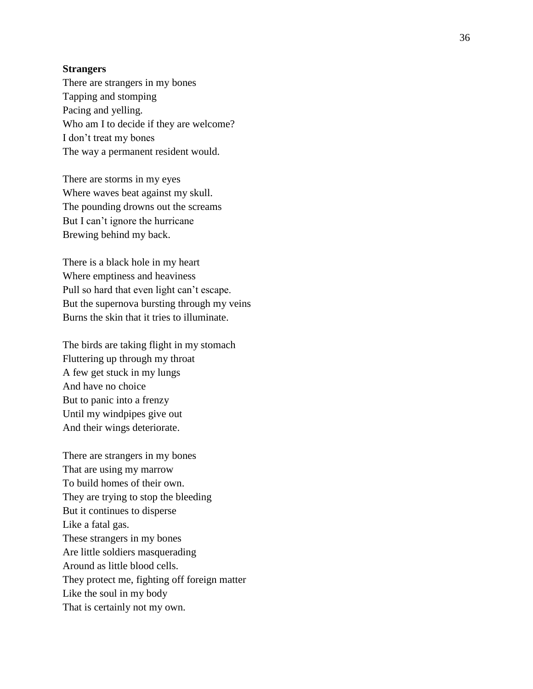#### **Strangers**

There are strangers in my bones Tapping and stomping Pacing and yelling. Who am I to decide if they are welcome? I don't treat my bones The way a permanent resident would.

There are storms in my eyes Where waves beat against my skull. The pounding drowns out the screams But I can't ignore the hurricane Brewing behind my back.

There is a black hole in my heart Where emptiness and heaviness Pull so hard that even light can't escape. But the supernova bursting through my veins Burns the skin that it tries to illuminate.

The birds are taking flight in my stomach Fluttering up through my throat A few get stuck in my lungs And have no choice But to panic into a frenzy Until my windpipes give out And their wings deteriorate.

There are strangers in my bones That are using my marrow To build homes of their own. They are trying to stop the bleeding But it continues to disperse Like a fatal gas. These strangers in my bones Are little soldiers masquerading Around as little blood cells. They protect me, fighting off foreign matter Like the soul in my body That is certainly not my own.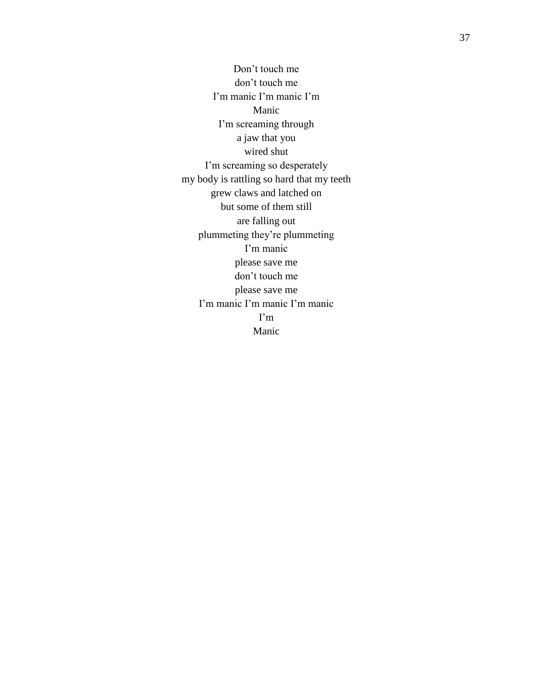Don't touch me don't touch me I'm manic I'm manic I'm Manic I'm screaming through a jaw that you wired shut I'm screaming so desperately my body is rattling so hard that my teeth grew claws and latched on but some of them still are falling out plummeting they're plummeting I'm manic please save me don't touch me please save me I'm manic I'm manic I'm manic I'm Manic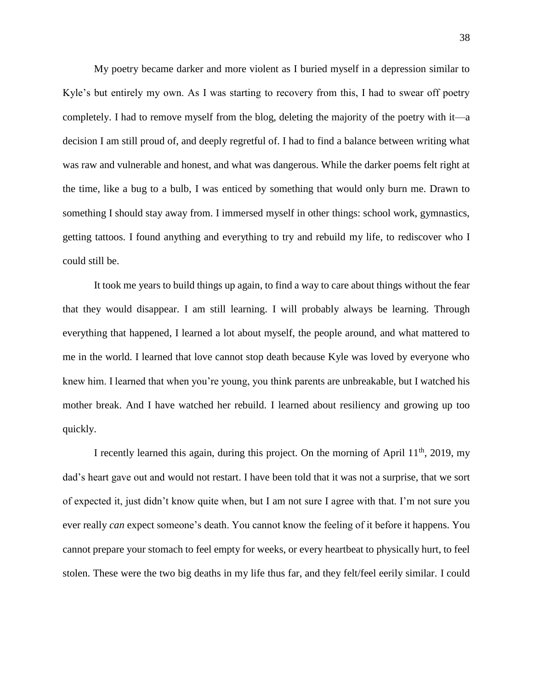My poetry became darker and more violent as I buried myself in a depression similar to Kyle's but entirely my own. As I was starting to recovery from this, I had to swear off poetry completely. I had to remove myself from the blog, deleting the majority of the poetry with it—a decision I am still proud of, and deeply regretful of. I had to find a balance between writing what was raw and vulnerable and honest, and what was dangerous. While the darker poems felt right at the time, like a bug to a bulb, I was enticed by something that would only burn me. Drawn to something I should stay away from. I immersed myself in other things: school work, gymnastics, getting tattoos. I found anything and everything to try and rebuild my life, to rediscover who I could still be.

It took me years to build things up again, to find a way to care about things without the fear that they would disappear. I am still learning. I will probably always be learning. Through everything that happened, I learned a lot about myself, the people around, and what mattered to me in the world. I learned that love cannot stop death because Kyle was loved by everyone who knew him. I learned that when you're young, you think parents are unbreakable, but I watched his mother break. And I have watched her rebuild. I learned about resiliency and growing up too quickly.

I recently learned this again, during this project. On the morning of April  $11<sup>th</sup>$ , 2019, my dad's heart gave out and would not restart. I have been told that it was not a surprise, that we sort of expected it, just didn't know quite when, but I am not sure I agree with that. I'm not sure you ever really *can* expect someone's death. You cannot know the feeling of it before it happens. You cannot prepare your stomach to feel empty for weeks, or every heartbeat to physically hurt, to feel stolen. These were the two big deaths in my life thus far, and they felt/feel eerily similar. I could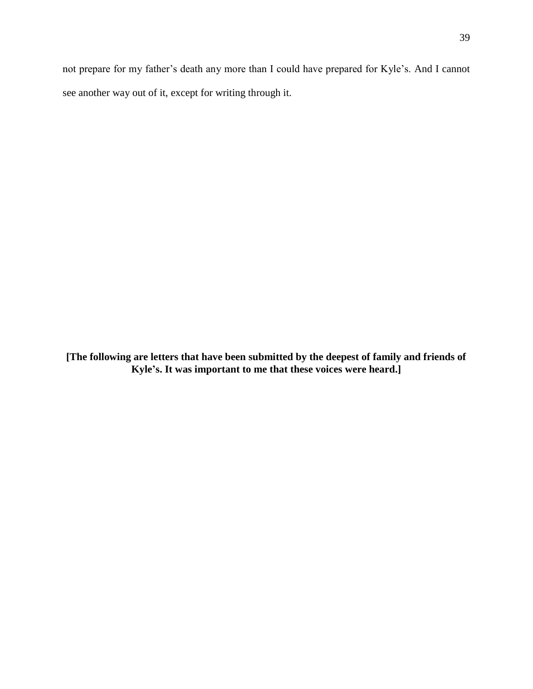not prepare for my father's death any more than I could have prepared for Kyle's. And I cannot see another way out of it, except for writing through it.

**[The following are letters that have been submitted by the deepest of family and friends of Kyle's. It was important to me that these voices were heard.]**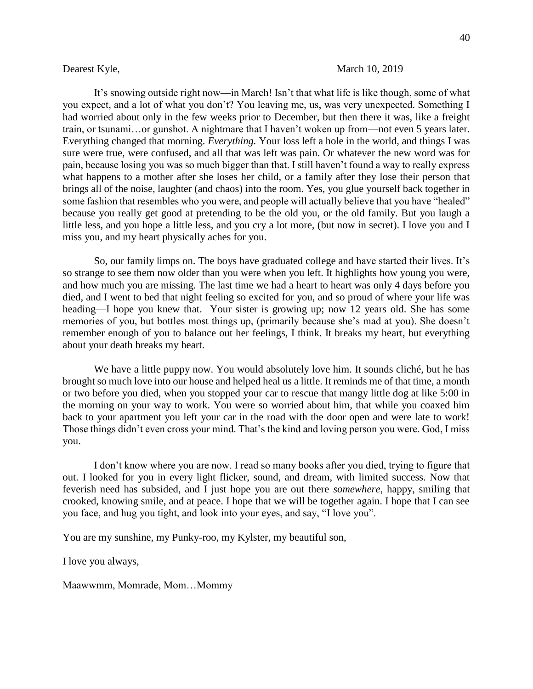#### Dearest Kyle, March 10, 2019

It's snowing outside right now—in March! Isn't that what life is like though, some of what you expect, and a lot of what you don't? You leaving me, us, was very unexpected. Something I had worried about only in the few weeks prior to December, but then there it was, like a freight train, or tsunami…or gunshot. A nightmare that I haven't woken up from—not even 5 years later. Everything changed that morning. *Everything.* Your loss left a hole in the world, and things I was sure were true, were confused, and all that was left was pain. Or whatever the new word was for pain, because losing you was so much bigger than that. I still haven't found a way to really express what happens to a mother after she loses her child, or a family after they lose their person that brings all of the noise, laughter (and chaos) into the room. Yes, you glue yourself back together in some fashion that resembles who you were, and people will actually believe that you have "healed" because you really get good at pretending to be the old you, or the old family. But you laugh a little less, and you hope a little less, and you cry a lot more, (but now in secret). I love you and I miss you, and my heart physically aches for you.

So, our family limps on. The boys have graduated college and have started their lives. It's so strange to see them now older than you were when you left. It highlights how young you were, and how much you are missing. The last time we had a heart to heart was only 4 days before you died, and I went to bed that night feeling so excited for you, and so proud of where your life was heading—I hope you knew that. Your sister is growing up; now 12 years old. She has some memories of you, but bottles most things up, (primarily because she's mad at you). She doesn't remember enough of you to balance out her feelings, I think. It breaks my heart, but everything about your death breaks my heart.

We have a little puppy now. You would absolutely love him. It sounds cliché, but he has brought so much love into our house and helped heal us a little. It reminds me of that time, a month or two before you died, when you stopped your car to rescue that mangy little dog at like 5:00 in the morning on your way to work. You were so worried about him, that while you coaxed him back to your apartment you left your car in the road with the door open and were late to work! Those things didn't even cross your mind. That's the kind and loving person you were. God, I miss you.

I don't know where you are now. I read so many books after you died, trying to figure that out. I looked for you in every light flicker, sound, and dream, with limited success. Now that feverish need has subsided, and I just hope you are out there *somewhere*, happy, smiling that crooked, knowing smile, and at peace. I hope that we will be together again. I hope that I can see you face, and hug you tight, and look into your eyes, and say, "I love you".

You are my sunshine, my Punky-roo, my Kylster, my beautiful son,

I love you always,

Maawwmm, Momrade, Mom…Mommy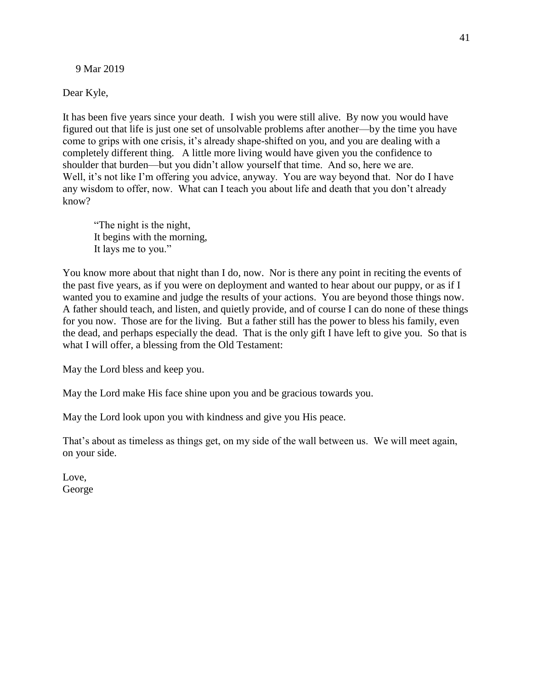9 Mar 2019

Dear Kyle,

It has been five years since your death. I wish you were still alive. By now you would have figured out that life is just one set of unsolvable problems after another—by the time you have come to grips with one crisis, it's already shape-shifted on you, and you are dealing with a completely different thing. A little more living would have given you the confidence to shoulder that burden—but you didn't allow yourself that time. And so, here we are. Well, it's not like I'm offering you advice, anyway. You are way beyond that. Nor do I have any wisdom to offer, now. What can I teach you about life and death that you don't already know?

 "The night is the night, It begins with the morning, It lays me to you."

You know more about that night than I do, now. Nor is there any point in reciting the events of the past five years, as if you were on deployment and wanted to hear about our puppy, or as if I wanted you to examine and judge the results of your actions. You are beyond those things now. A father should teach, and listen, and quietly provide, and of course I can do none of these things for you now. Those are for the living. But a father still has the power to bless his family, even the dead, and perhaps especially the dead. That is the only gift I have left to give you. So that is what I will offer, a blessing from the Old Testament:

May the Lord bless and keep you.

May the Lord make His face shine upon you and be gracious towards you.

May the Lord look upon you with kindness and give you His peace.

That's about as timeless as things get, on my side of the wall between us. We will meet again, on your side.

Love, George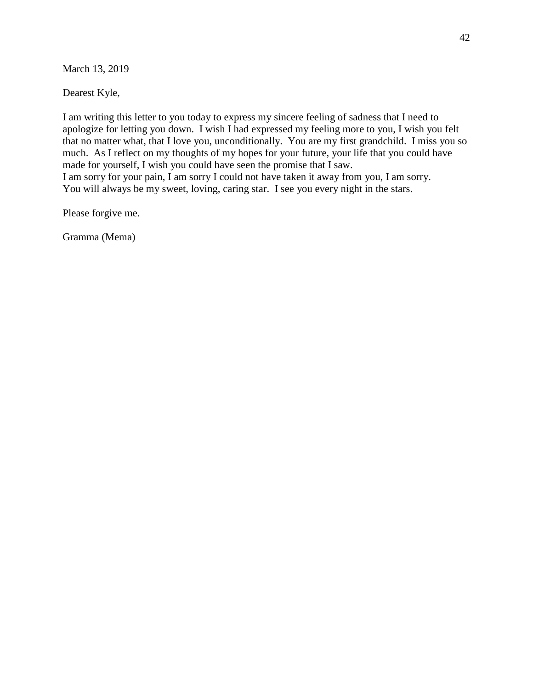March 13, 2019

Dearest Kyle,

I am writing this letter to you today to express my sincere feeling of sadness that I need to apologize for letting you down. I wish I had expressed my feeling more to you, I wish you felt that no matter what, that I love you, unconditionally. You are my first grandchild. I miss you so much. As I reflect on my thoughts of my hopes for your future, your life that you could have made for yourself, I wish you could have seen the promise that I saw. I am sorry for your pain, I am sorry I could not have taken it away from you, I am sorry. You will always be my sweet, loving, caring star. I see you every night in the stars.

Please forgive me.

Gramma (Mema)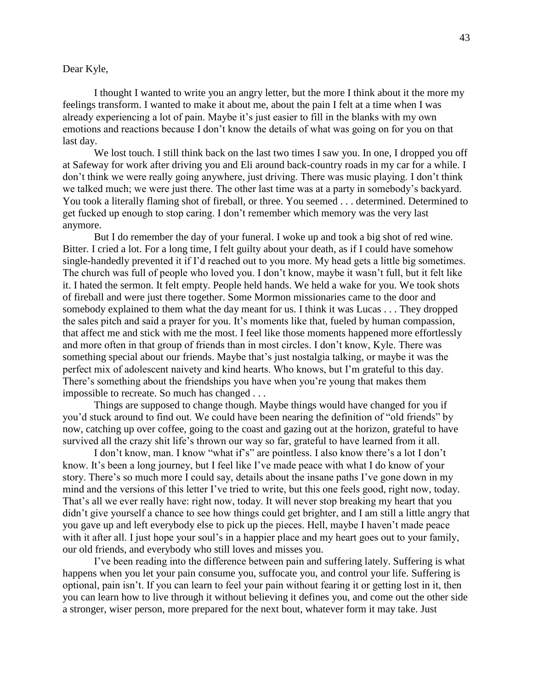#### Dear Kyle,

I thought I wanted to write you an angry letter, but the more I think about it the more my feelings transform. I wanted to make it about me, about the pain I felt at a time when I was already experiencing a lot of pain. Maybe it's just easier to fill in the blanks with my own emotions and reactions because I don't know the details of what was going on for you on that last day.

We lost touch. I still think back on the last two times I saw you. In one, I dropped you off at Safeway for work after driving you and Eli around back-country roads in my car for a while. I don't think we were really going anywhere, just driving. There was music playing. I don't think we talked much; we were just there. The other last time was at a party in somebody's backyard. You took a literally flaming shot of fireball, or three. You seemed . . . determined. Determined to get fucked up enough to stop caring. I don't remember which memory was the very last anymore.

But I do remember the day of your funeral. I woke up and took a big shot of red wine. Bitter. I cried a lot. For a long time, I felt guilty about your death, as if I could have somehow single-handedly prevented it if I'd reached out to you more. My head gets a little big sometimes. The church was full of people who loved you. I don't know, maybe it wasn't full, but it felt like it. I hated the sermon. It felt empty. People held hands. We held a wake for you. We took shots of fireball and were just there together. Some Mormon missionaries came to the door and somebody explained to them what the day meant for us. I think it was Lucas . . . They dropped the sales pitch and said a prayer for you. It's moments like that, fueled by human compassion, that affect me and stick with me the most. I feel like those moments happened more effortlessly and more often in that group of friends than in most circles. I don't know, Kyle. There was something special about our friends. Maybe that's just nostalgia talking, or maybe it was the perfect mix of adolescent naivety and kind hearts. Who knows, but I'm grateful to this day. There's something about the friendships you have when you're young that makes them impossible to recreate. So much has changed . . .

Things are supposed to change though. Maybe things would have changed for you if you'd stuck around to find out. We could have been nearing the definition of "old friends" by now, catching up over coffee, going to the coast and gazing out at the horizon, grateful to have survived all the crazy shit life's thrown our way so far, grateful to have learned from it all.

I don't know, man. I know "what if's" are pointless. I also know there's a lot I don't know. It's been a long journey, but I feel like I've made peace with what I do know of your story. There's so much more I could say, details about the insane paths I've gone down in my mind and the versions of this letter I've tried to write, but this one feels good, right now, today. That's all we ever really have: right now, today. It will never stop breaking my heart that you didn't give yourself a chance to see how things could get brighter, and I am still a little angry that you gave up and left everybody else to pick up the pieces. Hell, maybe I haven't made peace with it after all. I just hope your soul's in a happier place and my heart goes out to your family, our old friends, and everybody who still loves and misses you.

I've been reading into the difference between pain and suffering lately. Suffering is what happens when you let your pain consume you, suffocate you, and control your life. Suffering is optional, pain isn't. If you can learn to feel your pain without fearing it or getting lost in it, then you can learn how to live through it without believing it defines you, and come out the other side a stronger, wiser person, more prepared for the next bout, whatever form it may take. Just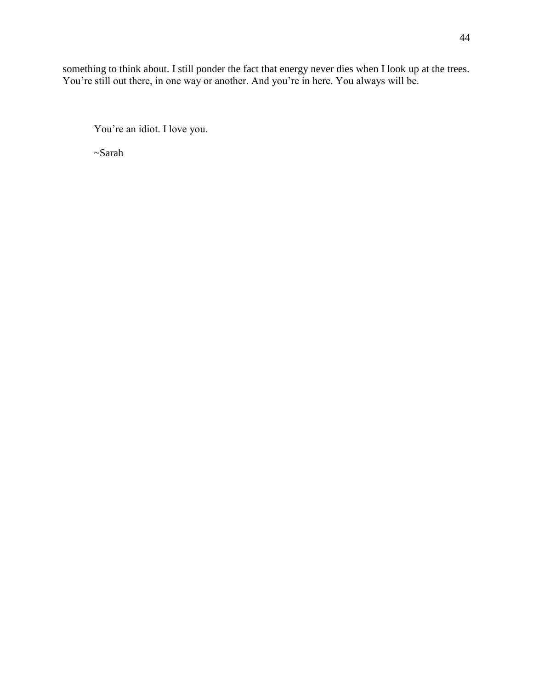something to think about. I still ponder the fact that energy never dies when I look up at the trees. You're still out there, in one way or another. And you're in here. You always will be.

You're an idiot. I love you.

~Sarah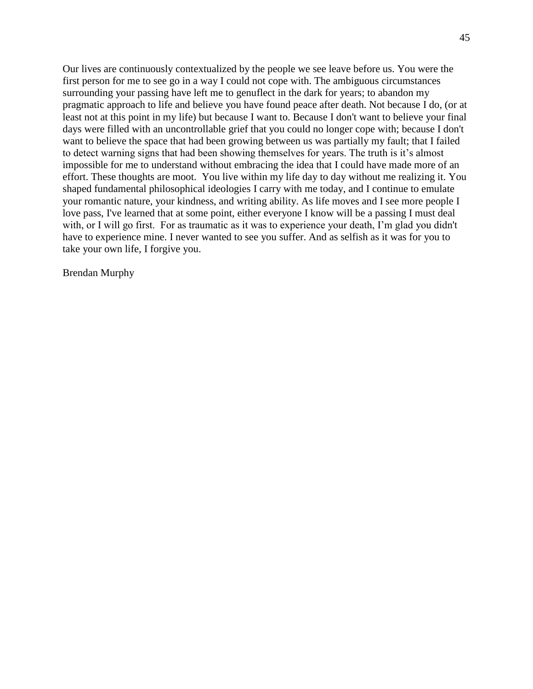Our lives are continuously contextualized by the people we see leave before us. You were the first person for me to see go in a way I could not cope with. The ambiguous circumstances surrounding your passing have left me to genuflect in the dark for years; to abandon my pragmatic approach to life and believe you have found peace after death. Not because I do, (or at least not at this point in my life) but because I want to. Because I don't want to believe your final days were filled with an uncontrollable grief that you could no longer cope with; because I don't want to believe the space that had been growing between us was partially my fault; that I failed to detect warning signs that had been showing themselves for years. The truth is it's almost impossible for me to understand without embracing the idea that I could have made more of an effort. These thoughts are moot. You live within my life day to day without me realizing it. You shaped fundamental philosophical ideologies I carry with me today, and I continue to emulate your romantic nature, your kindness, and writing ability. As life moves and I see more people I love pass, I've learned that at some point, either everyone I know will be a passing I must deal with, or I will go first. For as traumatic as it was to experience your death, I'm glad you didn't have to experience mine. I never wanted to see you suffer. And as selfish as it was for you to take your own life, I forgive you.

Brendan Murphy